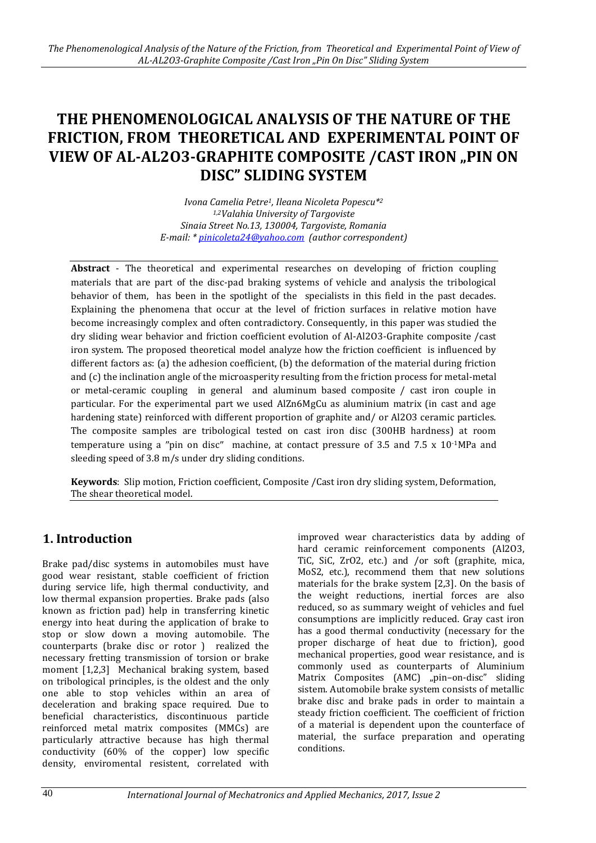# **THE PHENOMENOLOGICAL ANALYSIS OF THE NATURE OF THE FRICTION, FROM THEORETICAL AND EXPERIMENTAL POINT OF VIEW OF AL-AL2O3-GRAPHITE COMPOSITE /CAST IRON "PIN ON DISC" SLIDING SYSTEM**

*Ivona Camelia Petre1, Ileana Nicoleta Popescu\*<sup>2</sup> 1,2Valahia University of Targoviste Sinaia Street No.13, 130004, Targoviste, Romania E-mail: [\\* pinicoleta24@yahoo.com](mailto:pinicoleta24@yahoo.com) (author correspondent)*

**Abstract** - The theoretical and experimental researches on developing of friction coupling materials that are part of the disc-pad braking systems of vehicle and analysis the tribological behavior of them, has been in the spotlight of the specialists in this field in the past decades. Explaining the phenomena that occur at the level of friction surfaces in relative motion have become increasingly complex and often contradictory. Consequently, in this paper was studied the dry sliding wear behavior and friction coefficient evolution of Al-Al2O3-Graphite composite /cast iron system. The proposed theoretical model analyze how the friction coefficient is influenced by different factors as: (a) the adhesion coefficient, (b) the deformation of the material during friction and (c) the inclination angle of the microasperity resulting from the friction process for metal-metal or metal-ceramic coupling in general and aluminum based composite / cast iron couple in particular. For the experimental part we used AlZn6MgCu as aluminium matrix (in cast and age hardening state) reinforced with different proportion of graphite and/ or Al2O3 ceramic particles. The composite samples are tribological tested on cast iron disc (300HB hardness) at room temperature using a "pin on disc" machine, at contact pressure of 3.5 and 7.5 x 10<sup>-1</sup>MPa and sleeding speed of 3.8 m/s under dry sliding conditions.

**Keywords**: Slip motion, Friction coefficient, Composite /Cast iron dry sliding system, Deformation, The shear theoretical model.

# **1. Introduction**

Brake pad/disc systems in automobiles must have good wear resistant, stable coefficient of friction during service life, high thermal conductivity, and low thermal expansion properties. Brake pads (also known as friction pad) help in transferring kinetic energy into heat during the application of brake to stop or slow down a moving automobile. The counterparts (brake disc or rotor ) realized the necessary fretting transmission of torsion or brake moment [1,2,3] Mechanical braking system, based on tribological principles, is the oldest and the only one able to stop vehicles within an area of deceleration and braking space required. Due to beneficial characteristics, discontinuous particle reinforced metal matrix composites (MMCs) are particularly attractive because has high thermal conductivity (60% of the copper) low specific density, enviromental resistent, correlated with

improved wear characteristics data by adding of hard ceramic reinforcement components (Al2O3, TiC, SiC, ZrO2, etc.) and /or soft (graphite, mica, MoS2, etc.), recommend them that new solutions materials for the brake system [2,3]. On the basis of the weight reductions, inertial forces are also reduced, so as summary weight of vehicles and fuel consumptions are implicitly reduced. Gray cast iron has a good thermal conductivity (necessary for the proper discharge of heat due to friction), good mechanical properties, good wear resistance, and is commonly used as counterparts of Aluminium Matrix Composites (AMC) "pin-on-disc" sliding sistem. Automobile brake system consists of metallic brake disc and brake pads in order to maintain a steady friction coefficient. The coefficient of friction of a material is dependent upon the counterface of material, the surface preparation and operating conditions.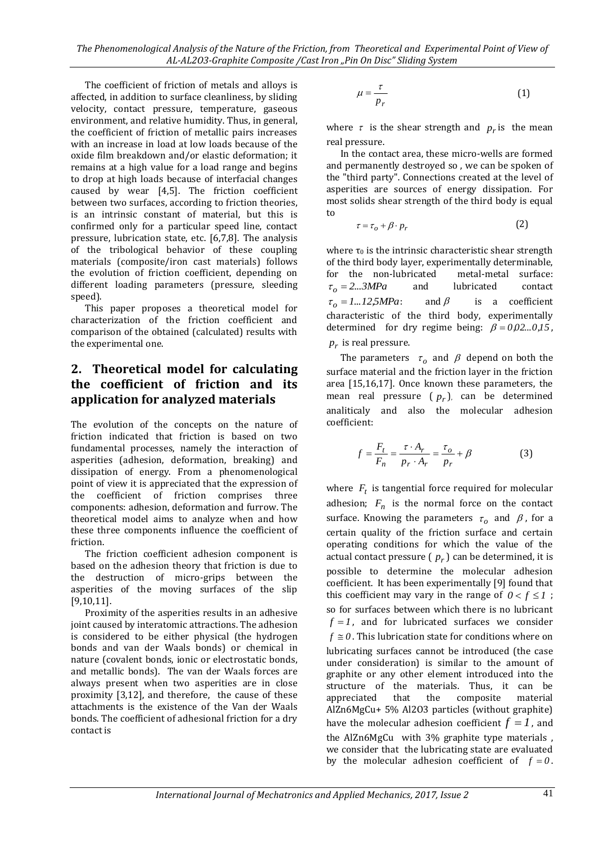*The Phenomenological Analysis of the Nature of the Friction, from Theoretical and Experimental Point of View of AL-AL2O3-Graphite Composite /Cast Iron "Pin On Disc" Sliding System*

The coefficient of friction of metals and alloys is affected, in addition to surface cleanliness, by sliding velocity, contact pressure, temperature, gaseous environment, and relative humidity. Thus, in general, the coefficient of friction of metallic pairs increases with an increase in load at low loads because of the oxide film breakdown and/or elastic deformation; it remains at a high value for a load range and begins to drop at high loads because of interfacial changes caused by wear [4,5]. The friction coefficient between two surfaces, according to friction theories, is an intrinsic constant of material, but this is confirmed only for a particular speed line, contact pressure, lubrication state, etc. [6,7,8]. The analysis of the tribological behavior of these coupling materials (composite/iron cast materials) follows the evolution of friction coefficient, depending on different loading parameters (pressure, sleeding speed).

This paper proposes a theoretical model for characterization of the friction coefficient and comparison of the obtained (calculated) results with the experimental one.

# **2. Theoretical model for calculating the coefficient of friction and its application for analyzed materials**

The evolution of the concepts on the nature of friction indicated that friction is based on two fundamental processes, namely the interaction of asperities (adhesion, deformation, breaking) and dissipation of energy. From a phenomenological point of view it is appreciated that the expression of the coefficient of friction comprises three components: adhesion, deformation and furrow. The theoretical model aims to analyze when and how these three components influence the coefficient of friction.

The friction coefficient adhesion component is based on the adhesion theory that friction is due to the destruction of micro-grips between the asperities of the moving surfaces of the slip [9,10,11].

Proximity of the asperities results in an adhesive joint caused by interatomic attractions. The adhesion is considered to be either physical (the hydrogen bonds and van der Waals bonds) or chemical in nature (covalent bonds, ionic or electrostatic bonds, and metallic bonds). The van der Waals forces are always present when two asperities are in close proximity [3,12], and therefore, the cause of these attachments is the existence of the Van der Waals bonds. The coefficient of adhesional friction for a dry contact is

$$
\mu = \frac{\tau}{p_r} \tag{1}
$$

where  $\tau$  is the shear strength and  $p_r$  is the mean real pressure.

In the contact area, these micro-wells are formed and permanently destroyed so , we can be spoken of the "third party". Connections created at the level of asperities are sources of energy dissipation. For most solids shear strength of the third body is equal to

$$
\tau = \tau_o + \beta \cdot p_r \tag{2}
$$

where  $\tau_0$  is the intrinsic characteristic shear strength of the third body layer, experimentally determinable, for the non-lubricated metal-metal surface:  $\tau_o = 2...3MPa$ and lubricated contact  $\tau_o = 1...12,5MPa$ and  $\beta$  is a coefficient characteristic of the third body, experimentally determined for dry regime being:  $\beta = 0.02...0.15$ ,  $p_r$  is real pressure.

The parameters  $\tau_o$  and  $\beta$  depend on both the surface material and the friction layer in the friction area [15,16,17]. Once known these parameters, the mean real pressure  $(p_r)$ , can be determined analiticaly and also the molecular adhesion coefficient:

$$
f = \frac{F_t}{F_n} = \frac{\tau \cdot A_r}{p_r \cdot A_r} = \frac{\tau_o}{p_r} + \beta \tag{3}
$$

where  $F_t$  is tangential force required for molecular adhesion;  $F_n$  is the normal force on the contact surface. Knowing the parameters  $\tau_o$  and  $\beta$ , for a certain quality of the friction surface and certain operating conditions for which the value of the actual contact pressure ( $p_r$ ) can be determined, it is possible to determine the molecular adhesion coefficient. It has been experimentally [9] found that this coefficient may vary in the range of  $0 < f \leq 1$ ; so for surfaces between which there is no lubricant  $f = 1$ , and for lubricated surfaces we consider  $f \equiv 0$ . This lubrication state for conditions where on lubricating surfaces cannot be introduced (the case under consideration) is similar to the amount of graphite or any other element introduced into the structure of the materials. Thus, it can be appreciated that the composite material AlZn6MgCu+ 5% Al2O3 particles (without graphite) have the molecular adhesion coefficient  $f = l$ , and the AlZn6MgCu with 3% graphite type materials , we consider that the lubricating state are evaluated by the molecular adhesion coefficient of  $f = 0$ .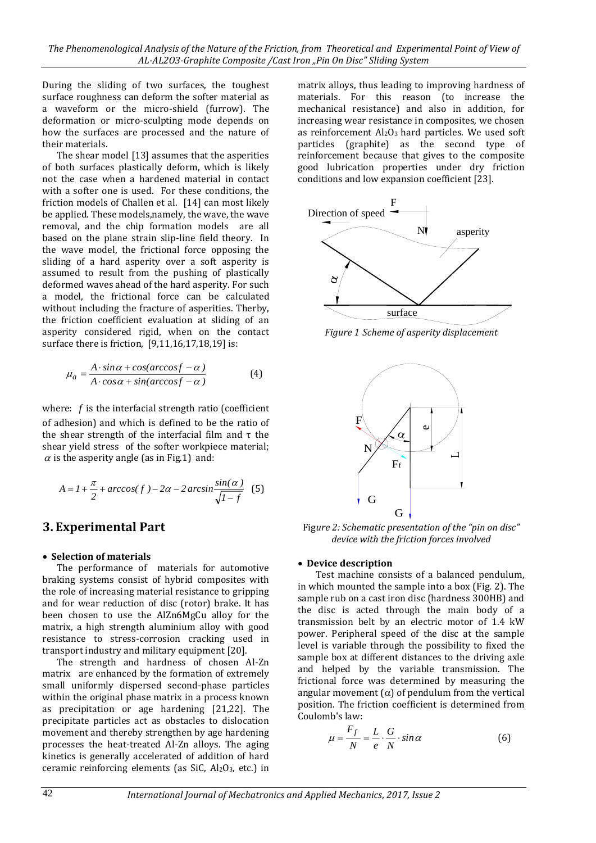During the sliding of two surfaces, the toughest surface roughness can deform the softer material as a waveform or the micro-shield (furrow). The deformation or micro-sculpting mode depends on how the surfaces are processed and the nature of their materials.

The shear model [13] assumes that the asperities of both surfaces plastically deform, which is likely not the case when a hardened material in contact with a softer one is used. For these conditions, the friction models of Challen et al. [14] can most likely be applied. These models,namely, the wave, the wave removal, and the chip formation models are all based on the plane strain slip-line field theory. In the wave model, the frictional force opposing the sliding of a hard asperity over a soft asperity is assumed to result from the pushing of plastically deformed waves ahead of the hard asperity. For such a model, the frictional force can be calculated without including the fracture of asperities. Therby, the friction coefficient evaluation at sliding of an asperity considered rigid, when on the contact surface there is friction, [9,11,16,17,18,19] is:

$$
\mu_a = \frac{A \cdot \sin \alpha + \cos(\arccos f - \alpha)}{A \cdot \cos \alpha + \sin(\arccos f - \alpha)}\tag{4}
$$

where:  $f$  is the interfacial strength ratio (coefficient of adhesion) and which is defined to be the ratio of the shear strength of the interfacial film and τ the shear yield stress of the softer workpiece material;  $\alpha$  is the asperity angle (as in Fig.1) and:

$$
A = I + \frac{\pi}{2} + \arccos(f) - 2\alpha - 2\arcsin\frac{\sin(\alpha)}{\sqrt{1 - f}} \tag{5}
$$

### **3. Experimental Part**

### **Selection of materials**

The performance of materials for automotive braking systems consist of hybrid composites with the role of increasing material resistance to gripping and for wear reduction of disc (rotor) brake. It has been chosen to use the AlZn6MgCu alloy for the matrix, a high strength aluminium alloy with good resistance to stress-corrosion cracking used in transport industry and military equipment [20].

The strength and hardness of chosen Al-Zn matrix are enhanced by the formation of extremely small uniformly dispersed second-phase particles within the original phase matrix in a process known as precipitation or age hardening [21,22]. The precipitate particles act as obstacles to dislocation movement and thereby strengthen by age hardening processes the heat-treated Al-Zn alloys. The aging kinetics is generally accelerated of addition of hard ceramic reinforcing elements (as SiC, Al2O3, etc.) in matrix alloys, thus leading to improving hardness of materials. For this reason (to increase the mechanical resistance) and also in addition, for increasing wear resistance in composites, we chosen as reinforcement  $Al_2O_3$  hard particles. We used soft particles (graphite) as the second type of reinforcement because that gives to the composite good lubrication properties under dry friction conditions and low expansion coefficient [23].



*Figure 1 Scheme of asperity displacement*



Fig*ure 2: Schematic presentation of the "pin on disc" device with the friction forces involved*

### **Device description**

Test machine consists of a balanced pendulum, in which mounted the sample into a box (Fig. 2). The sample rub on a cast iron disc (hardness 300HB) and the disc is acted through the main body of a transmission belt by an electric motor of 1.4 kW power. Peripheral speed of the disc at the sample level is variable through the possibility to fixed the sample box at different distances to the driving axle and helped by the variable transmission. The frictional force was determined by measuring the angular movement ( $\alpha$ ) of pendulum from the vertical position. The friction coefficient is determined from Coulomb's law:

$$
\mu = \frac{F_f}{N} = \frac{L}{e} \cdot \frac{G}{N} \cdot \sin \alpha \tag{6}
$$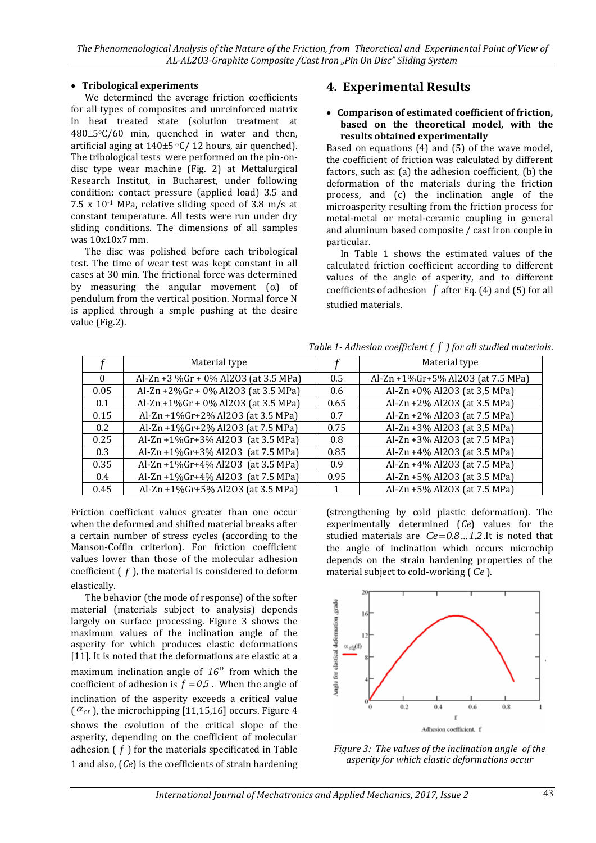### **Tribological experiments**

We determined the average friction coefficients for all types of composites and unreinforced matrix in heat treated state (solution treatment at  $480 \pm 5\degree$ C/60 min, quenched in water and then, artificial aging at  $140\pm5$  °C/ 12 hours, air quenched). The tribological tests were performed on the pin-ondisc type wear machine (Fig. 2) at Mettalurgical Research Institut, in Bucharest, under following condition: contact pressure (applied load) 3.5 and 7.5 x  $10^{-1}$  MPa, relative sliding speed of 3.8 m/s at constant temperature. All tests were run under dry sliding conditions. The dimensions of all samples was 10x10x7 mm.

The disc was polished before each tribological test. The time of wear test was kept constant in all cases at 30 min. The frictional force was determined by measuring the angular movement  $(\alpha)$  of pendulum from the vertical position. Normal force N is applied through a smple pushing at the desire value (Fig.2).

# **4. Experimental Results**

### **Comparison of estimated coefficient of friction, based on the theoretical model, with the results obtained experimentally**

Based on equations (4) and (5) of the wave model, the coefficient of friction was calculated by different factors, such as: (a) the adhesion coefficient, (b) the deformation of the materials during the friction process, and (c) the inclination angle of the microasperity resulting from the friction process for metal-metal or metal-ceramic coupling in general and aluminum based composite / cast iron couple in particular.

In Table 1 shows the estimated values of the calculated friction coefficient according to different values of the angle of asperity, and to different coefficients of adhesion  $f$  after Eq. (4) and (5) for all studied materials.

|          | Material type                        |      | Material type                     |
|----------|--------------------------------------|------|-----------------------------------|
| $\Omega$ | Al-Zn +3 %Gr + 0% Al2O3 (at 3.5 MPa) | 0.5  | Al-Zn +1%Gr+5% Al2O3 (at 7.5 MPa) |
| 0.05     | Al-Zn +2%Gr + 0% Al2O3 (at 3.5 MPa)  | 0.6  | Al-Zn +0% Al2O3 (at 3,5 MPa)      |
| 0.1      | Al-Zn +1%Gr + 0% Al2O3 (at 3.5 MPa)  | 0.65 | Al-Zn +2% Al2O3 (at 3.5 MPa)      |
| 0.15     | Al-Zn +1%Gr+2% Al2O3 (at 3.5 MPa)    | 0.7  | Al-Zn +2% Al2O3 (at 7.5 MPa)      |
| 0.2      | Al-Zn +1%Gr+2% Al2O3 (at 7.5 MPa)    | 0.75 | Al-Zn +3% Al2O3 (at 3,5 MPa)      |
| 0.25     | Al-Zn +1%Gr+3% Al2O3 (at 3.5 MPa)    | 0.8  | Al-Zn +3% Al2O3 (at 7.5 MPa)      |
| 0.3      | Al-Zn +1%Gr+3% Al2O3 (at 7.5 MPa)    | 0.85 | Al-Zn +4% Al2O3 (at 3.5 MPa)      |
| 0.35     | Al-Zn +1%Gr+4% Al2O3 (at 3.5 MPa)    | 0.9  | Al-Zn +4% Al2O3 (at 7.5 MPa)      |
| 0.4      | Al-Zn +1%Gr+4% Al2O3 (at 7.5 MPa)    | 0.95 | Al-Zn +5% Al2O3 (at 3.5 MPa)      |
| 0.45     | Al-Zn +1%Gr+5% Al2O3 (at 3.5 MPa)    |      | Al-Zn +5% Al2O3 (at 7.5 MPa)      |

*Table 1- Adhesion coefficient ( f ) for all studied materials*.

Friction coefficient values greater than one occur when the deformed and shifted material breaks after a certain number of stress cycles (according to the Manson-Coffin criterion). For friction coefficient values lower than those of the molecular adhesion coefficient  $(f)$ , the material is considered to deform elastically.

The behavior (the mode of response) of the softer material (materials subject to analysis) depends largely on surface processing. Figure 3 shows the maximum values of the inclination angle of the asperity for which produces elastic deformations [11]. It is noted that the deformations are elastic at a maximum inclination angle of  $16<sup>o</sup>$  from which the coefficient of adhesion is  $f = 0.5$ . When the angle of inclination of the asperity exceeds a critical value  $(\alpha_{cr})$ , the microchipping [11,15,16] occurs. Figure 4 shows the evolution of the critical slope of the asperity, depending on the coefficient of molecular adhesion ( *f* ) for the materials specificated in Table 1 and also, (*Ce*) is the coefficients of strain hardening (strengthening by cold plastic deformation). The experimentally determined (*Ce*) values for the studied materials are  $Ce = 0.8...1.2$  It is noted that the angle of inclination which occurs microchip depends on the strain hardening properties of the material subject to cold-working ( *Ce* ).



*Figure 3: The values of the inclination angle of the asperity for which elastic deformations occur*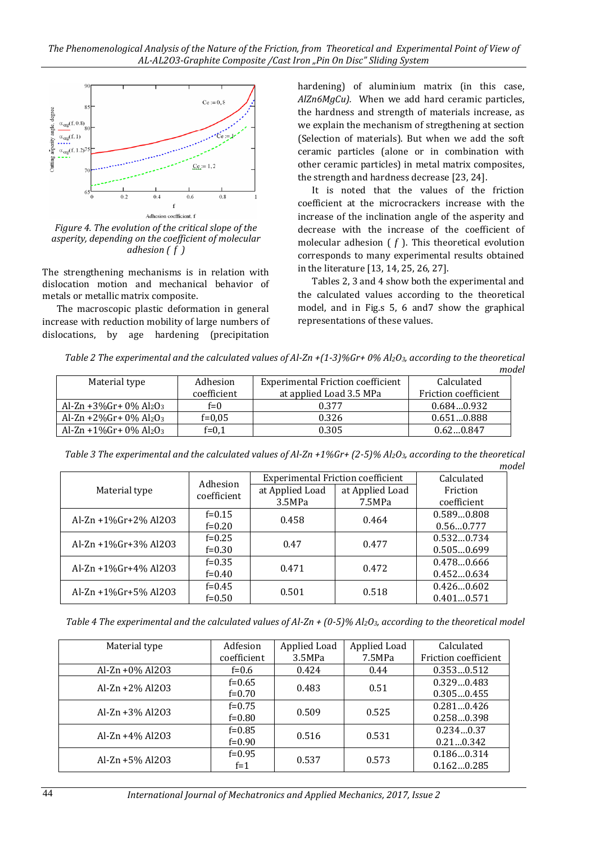

*Figure 4. The evolution of the critical slope of the asperity, depending on the coefficient of molecular adhesion ( f )*

The strengthening mechanisms is in relation with dislocation motion and mechanical behavior of metals or metallic matrix composite.

The macroscopic plastic deformation in general increase with reduction mobility of large numbers of dislocations, by age hardening (precipitation hardening) of aluminium matrix (in this case, *AlZn6MgCu).* When we add hard ceramic particles, the hardness and strength of materials increase, as we explain the mechanism of stregthening at section (Selection of materials). But when we add the soft ceramic particles (alone or in combination with other ceramic particles) in metal matrix composites, the strength and hardness decrease [23, 24].

It is noted that the values of the friction coefficient at the microcrackers increase with the increase of the inclination angle of the asperity and decrease with the increase of the coefficient of molecular adhesion  $(f)$ . This theoretical evolution corresponds to many experimental results obtained in the literature [13, 14, 25, 26, 27].

Tables 2, 3 and 4 show both the experimental and the calculated values according to the theoretical model, and in Fig.s 5, 6 and7 show the graphical representations of these values.

*Table 2 The experimental and the calculated values of Al-Zn +(1-3)%Gr+ 0% Al2O3, according to the theoretical model*

| Material type                                     | Adhesion    | <b>Experimental Friction coefficient</b> | Calculated           |
|---------------------------------------------------|-------------|------------------------------------------|----------------------|
|                                                   | coefficient | at applied Load 3.5 MPa                  | Friction coefficient |
| Al-Zn +3%Gr+ $0\%$ Al <sub>2</sub> O <sub>3</sub> | $f=0$       | 0.377                                    | 0.6840.932           |
| Al-Zn +2%Gr+ $0\%$ Al <sub>2</sub> O <sub>3</sub> | $f=0.05$    | 0.326                                    | 0.6510.888           |
| Al-Zn +1%Gr+ $0\%$ Al <sub>2</sub> O <sub>3</sub> | $f=0.1$     | 0.305                                    | 0.620.847            |

*Table 3 The experimental and the calculated values of Al-Zn +1%Gr+ (2-5)% Al2O3, according to the theoretical model*

|                              | Adhesion<br>coefficient | <b>Experimental Friction coefficient</b> | Calculated      |             |
|------------------------------|-------------------------|------------------------------------------|-----------------|-------------|
| Material type                |                         | at Applied Load                          | at Applied Load | Friction    |
|                              |                         | 3.5MPa                                   | 7.5MPa          | coefficient |
| Al-Zn $+1\%$ Gr $+2\%$ Al2O3 | $f=0.15$                | 0.458                                    | 0.464           | 0.5890.808  |
|                              | $f=0.20$                |                                          |                 | 0.560.777   |
|                              | $f=0.25$                | 0.47                                     | 0.477           | 0.5320.734  |
| Al-Zn $+1\%$ Gr $+3\%$ Al2O3 | $f=0.30$                |                                          |                 | 0.5050.699  |
|                              | $f=0.35$                |                                          |                 | 0.4780.666  |
| Al-Zn $+1\%$ Gr $+4\%$ Al2O3 | $f=0.40$                | 0.471                                    | 0.472           | 0.4520.634  |
|                              | $f=0.45$                | 0.501                                    | 0.518           | 0.4260.602  |
| $Al-Zn + 1\%$ Gr+5% Al2O3    | $f=0.50$                |                                          |                 | 0.4010.571  |

*Table 4 The experimental and the calculated values of Al-Zn + (0-5)% Al2O3, according to the theoretical model*

| Material type       | Adfesion    | Applied Load | Applied Load | Calculated           |
|---------------------|-------------|--------------|--------------|----------------------|
|                     | coefficient | 3.5MPa       | 7.5MPa       | Friction coefficient |
| $Al-Zn + 0\% Al2O3$ | $f=0.6$     | 0.424        | 0.44         | 0.3530.512           |
| $Al-Zn + 2% Al2O3$  | $f=0.65$    | 0.483        | 0.51         | 0.3290.483           |
|                     | $f=0.70$    |              |              | 0.3050.455           |
| $Al-Zn + 3% Al2O3$  | $f=0.75$    | 0.509        | 0.525        | 0.2810.426           |
|                     | $f=0.80$    |              |              | 0.2580.398           |
| $Al-Zn + 4% Al2O3$  | $f=0.85$    | 0.516        | 0.531        | 0.2340.37            |
|                     | $f=0.90$    |              |              | 0.210.342            |
| $Al-Zn + 5% Al2O3$  | $f=0.95$    | 0.537        | 0.573        | 0.1860.314           |
|                     | $f=1$       |              |              | 0.1620.285           |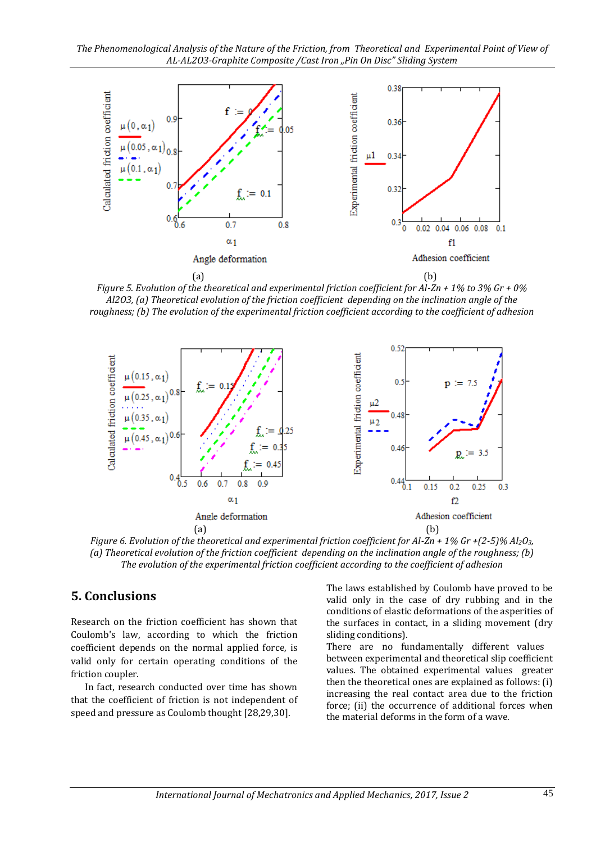

*Figure 5. Evolution of the theoretical and experimental friction coefficient for Al-Zn + 1% to 3% Gr + 0% Al2O3, (a) Theoretical evolution of the friction coefficient depending on the inclination angle of the roughness; (b) The evolution of the experimental friction coefficient according to the coefficient of adhesion*



*Figure 6. Evolution of the theoretical and experimental friction coefficient for Al-Zn + 1% Gr +(2-5)% Al2O3, (a) Theoretical evolution of the friction coefficient depending on the inclination angle of the roughness; (b) The evolution of the experimental friction coefficient according to the coefficient of adhesion*

### **5. Conclusions**

Research on the friction coefficient has shown that Coulomb's law, according to which the friction coefficient depends on the normal applied force, is valid only for certain operating conditions of the friction coupler.

In fact, research conducted over time has shown that the coefficient of friction is not independent of speed and pressure as Coulomb thought [28,29,30].

The laws established by Coulomb have proved to be valid only in the case of dry rubbing and in the conditions of elastic deformations of the asperities of the surfaces in contact, in a sliding movement (dry sliding conditions).

There are no fundamentally different values between experimental and theoretical slip coefficient values. The obtained experimental values greater then the theoretical ones are explained as follows: (i) increasing the real contact area due to the friction force; (ii) the occurrence of additional forces when the material deforms in the form of a wave.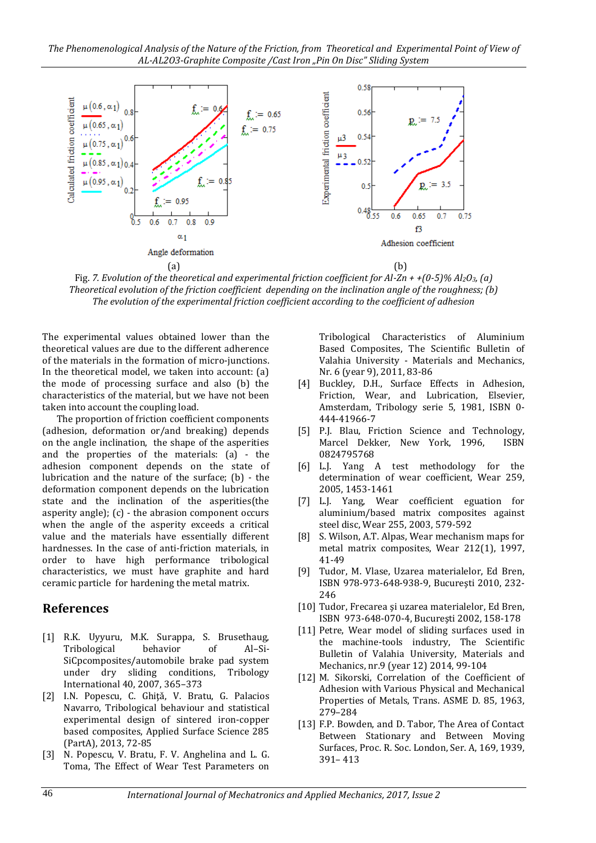

Fig. *7. Evolution of the theoretical and experimental friction coefficient for Al-Zn + +(0-5)% Al2O3, (a) Theoretical evolution of the friction coefficient depending on the inclination angle of the roughness; (b) The evolution of the experimental friction coefficient according to the coefficient of adhesion*

The experimental values obtained lower than the theoretical values are due to the different adherence of the materials in the formation of micro-junctions. In the theoretical model, we taken into account: (a) the mode of processing surface and also (b) the characteristics of the material, but we have not been taken into account the coupling load.

The proportion of friction coefficient components (adhesion, deformation or/and breaking) depends on the angle inclination, the shape of the asperities and the properties of the materials: (a) - the adhesion component depends on the state of lubrication and the nature of the surface; (b) - the deformation component depends on the lubrication state and the inclination of the asperities(the asperity angle); (c) - the abrasion component occurs when the angle of the asperity exceeds a critical value and the materials have essentially different hardnesses. In the case of anti-friction materials, in order to have high performance tribological characteristics, we must have graphite and hard ceramic particle for hardening the metal matrix.

### **References**

- [1] R.K. Uyyuru, M.K. Surappa, S. Brusethaug, Tribological behavior of Al–Si-SiCpcomposites/automobile brake pad system under dry sliding conditions, Tribology International 40, 2007, 365–373
- [2] I.N. Popescu, C. Ghiţǎ, V. Bratu, G. Palacios Navarro, Tribological behaviour and statistical experimental design of sintered iron-copper based composites, Applied Surface Science 285 (PartA), 2013, 72-85
- [3] N. Popescu, V. Bratu, F. V. Anghelina and L. G. Toma, The Effect of Wear Test Parameters on

Tribological Characteristics of Aluminium Based Composites, The Scientific Bulletin of Valahia University - Materials and Mechanics, Nr. 6 (year 9), 2011, 83-86

- [4] Buckley, D.H., Surface Effects in Adhesion, Friction, Wear, and Lubrication, Elsevier, Amsterdam, Tribology serie 5, 1981, ISBN 0- 444-41966-7
- [5] P.J. Blau, Friction Science and Technology, Marcel Dekker, New York, 1996, ISBN 0824795768
- [6] L.J. Yang A test methodology for the determination of wear coefficient, Wear 259, 2005, 1453-1461
- [7] L.J. Yang, Wear coefficient eguation for aluminium/based matrix composites against steel disc, Wear 255, 2003, 579-592
- [8] S. Wilson, A.T. Alpas, Wear mechanism maps for metal matrix composites, Wear 212(1), 1997, 41-49
- [9] Tudor, M. Vlase, Uzarea materialelor, Ed Bren, ISBN 978-973-648-938-9, Bucureşti 2010, 232- 246
- [10] Tudor, Frecarea și uzarea materialelor, Ed Bren, ISBN 973-648-070-4, Bucureşti 2002, 158-178
- [11] Petre, Wear model of sliding surfaces used in the machine-tools industry, The Scientific Bulletin of Valahia University, Materials and Mechanics, nr.9 (year 12) 2014, 99-104
- [12] M. Sikorski, Correlation of the Coefficient of Adhesion with Various Physical and Mechanical Properties of Metals, Trans. ASME D. 85, 1963, 279–284
- [13] F.P. Bowden, and D. Tabor, The Area of Contact Between Stationary and Between Moving Surfaces, Proc. R. Soc. London, Ser. A, 169, 1939, 391– 413